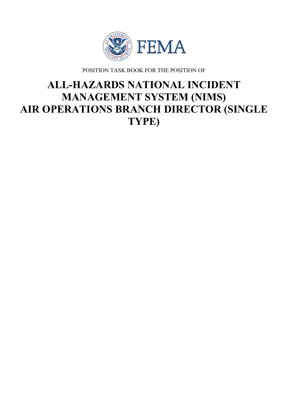

POSITION TASK BOOK FOR THE POSITION OF

# **ALL-HAZARDS NATIONAL INCIDENT MANAGEMENT SYSTEM (NIMS) AIR OPERATIONS BRANCH DIRECTOR (SINGLE TYPE)**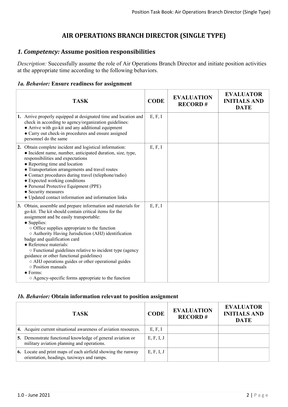# **AIR OPERATIONS BRANCH DIRECTOR (SINGLE TYPE)**

# *1. Competency:* **Assume position responsibilities**

*Description:* Successfully assume the role of Air Operations Branch Director and initiate position activities at the appropriate time according to the following behaviors.

#### *1a. Behavior:* **Ensure readiness for assignment**

| <b>TASK</b>                                                                                                                                                                                                                                                                                                                                                                                                                                                                                                                                                                                                                | <b>CODE</b> | <b>EVALUATION</b><br><b>RECORD#</b> | <b>EVALUATOR</b><br><b>INITIALS AND</b><br><b>DATE</b> |
|----------------------------------------------------------------------------------------------------------------------------------------------------------------------------------------------------------------------------------------------------------------------------------------------------------------------------------------------------------------------------------------------------------------------------------------------------------------------------------------------------------------------------------------------------------------------------------------------------------------------------|-------------|-------------------------------------|--------------------------------------------------------|
| 1. Arrive properly equipped at designated time and location and<br>check in according to agency/organization guidelines:<br>• Arrive with go-kit and any additional equipment<br>• Carry out check-in procedures and ensure assigned<br>personnel do the same                                                                                                                                                                                                                                                                                                                                                              | E, F, I     |                                     |                                                        |
| 2. Obtain complete incident and logistical information:<br>• Incident name, number, anticipated duration, size, type,<br>responsibilities and expectations<br>• Reporting time and location<br>• Transportation arrangements and travel routes<br>• Contact procedures during travel (telephone/radio)<br>• Expected working conditions<br>• Personal Protective Equipment (PPE)<br>• Security measures<br>• Updated contact information and information links                                                                                                                                                             | E, F, I     |                                     |                                                        |
| 3. Obtain, assemble and prepare information and materials for<br>go-kit. The kit should contain critical items for the<br>assignment and be easily transportable:<br>• Supplies:<br>$\circ$ Office supplies appropriate to the function<br>O Authority Having Jurisdiction (AHJ) identification<br>badge and qualification card<br>• Reference materials:<br>○ Functional guidelines relative to incident type (agency<br>guidance or other functional guidelines)<br>○ AHJ operations guides or other operational guides<br>o Position manuals<br>$\bullet$ Forms:<br>○ Agency-specific forms appropriate to the function | E, F, I     |                                     |                                                        |

#### *1b. Behavior:* **Obtain information relevant to position assignment**

| TASK.                                                                                                      | <b>CODE</b> | <b>EVALUATION</b><br><b>RECORD#</b> | <b>EVALUATOR</b><br><b>INITIALS AND</b><br><b>DATE</b> |
|------------------------------------------------------------------------------------------------------------|-------------|-------------------------------------|--------------------------------------------------------|
| 4. Acquire current situational awareness of aviation resources.                                            | E, F, I     |                                     |                                                        |
| 5. Demonstrate functional knowledge of general aviation or<br>military aviation planning and operations.   | E, F, I, J  |                                     |                                                        |
| 6. Locate and print maps of each airfield showing the runway<br>orientation, headings, taxiways and ramps. | E, F, I, J  |                                     |                                                        |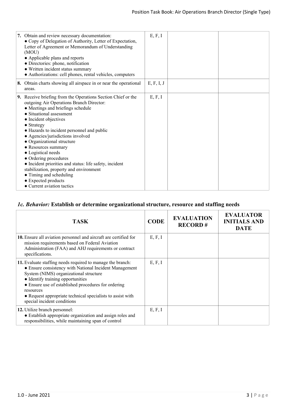| 7. Obtain and review necessary documentation:<br>• Copy of Delegation of Authority, Letter of Expectation,<br>Letter of Agreement or Memorandum of Understanding<br>(MOU)<br>• Applicable plans and reports<br>• Directories: phone, notification<br>• Written incident status summary<br>• Authorizations: cell phones, rental vehicles, computers                                                                                                                                                                                                                                           | E, F, I    |  |
|-----------------------------------------------------------------------------------------------------------------------------------------------------------------------------------------------------------------------------------------------------------------------------------------------------------------------------------------------------------------------------------------------------------------------------------------------------------------------------------------------------------------------------------------------------------------------------------------------|------------|--|
| 8. Obtain charts showing all airspace in or near the operational<br>areas.                                                                                                                                                                                                                                                                                                                                                                                                                                                                                                                    | E, F, I, J |  |
| 9. Receive briefing from the Operations Section Chief or the<br>outgoing Air Operations Branch Director:<br>• Meetings and briefings schedule<br>• Situational assessment<br>• Incident objectives<br>• Strategy<br>• Hazards to incident personnel and public<br>• Agencies/jurisdictions involved<br>• Organizational structure<br>• Resources summary<br>• Logistical needs<br>• Ordering procedures<br>• Incident priorities and status: life safety, incident<br>stabilization, property and environment<br>• Timing and scheduling<br>• Expected products<br>• Current aviation tactics | E, F, I    |  |

## *1c. Behavior:* **Establish or determine organizational structure, resource and staffing needs**

| TASK                                                                                                                                                                                                                                                                                                                                                                 | <b>CODE</b> | <b>EVALUATION</b><br><b>RECORD#</b> | <b>EVALUATOR</b><br><b>INITIALS AND</b><br><b>DATE</b> |
|----------------------------------------------------------------------------------------------------------------------------------------------------------------------------------------------------------------------------------------------------------------------------------------------------------------------------------------------------------------------|-------------|-------------------------------------|--------------------------------------------------------|
| 10. Ensure all aviation personnel and aircraft are certified for<br>mission requirements based on Federal Aviation<br>Administration (FAA) and AHJ requirements or contract<br>specifications.                                                                                                                                                                       | E, F, I     |                                     |                                                        |
| 11. Evaluate staffing needs required to manage the branch:<br>• Ensure consistency with National Incident Management<br>System (NIMS) organizational structure<br>• Identify training opportunities<br>• Ensure use of established procedures for ordering<br>resources<br>• Request appropriate technical specialists to assist with<br>special incident conditions | E, F, I     |                                     |                                                        |
| 12. Utilize branch personnel:<br>• Establish appropriate organization and assign roles and<br>responsibilities, while maintaining span of control                                                                                                                                                                                                                    | E, F, I     |                                     |                                                        |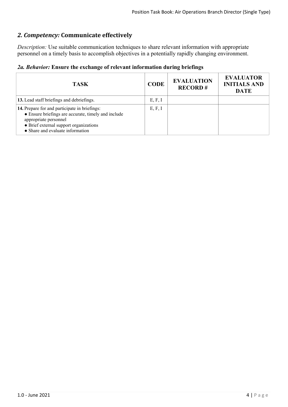# *2. Competency:* **Communicate effectively**

*Description:* Use suitable communication techniques to share relevant information with appropriate personnel on a timely basis to accomplish objectives in a potentially rapidly changing environment.

|  |  |  |  |  | 2a. Behavior: Ensure the exchange of relevant information during briefings |  |  |
|--|--|--|--|--|----------------------------------------------------------------------------|--|--|
|--|--|--|--|--|----------------------------------------------------------------------------|--|--|

| <b>TASK</b>                                                                                                                                                                                                 | <b>CODE</b> | <b>EVALUATION</b><br><b>RECORD#</b> | <b>EVALUATOR</b><br><b>INITIALS AND</b><br><b>DATE</b> |
|-------------------------------------------------------------------------------------------------------------------------------------------------------------------------------------------------------------|-------------|-------------------------------------|--------------------------------------------------------|
| 13. Lead staff briefings and debriefings.                                                                                                                                                                   | E, F, I     |                                     |                                                        |
| 14. Prepare for and participate in briefings:<br>• Ensure briefings are accurate, timely and include<br>appropriate personnel<br>• Brief external support organizations<br>• Share and evaluate information | E, F, I     |                                     |                                                        |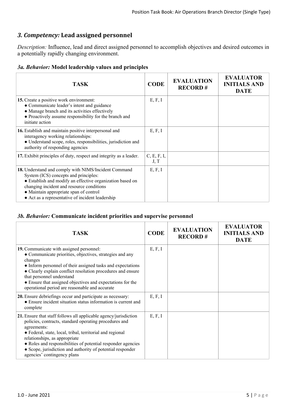## *3. Competency:* **Lead assigned personnel**

*Description:* Influence, lead and direct assigned personnel to accomplish objectives and desired outcomes in a potentially rapidly changing environment.

#### *3a. Behavior:* **Model leadership values and principles**

| <b>TASK</b>                                                                                                                                                                                                                                                                                           | <b>CODE</b>         | <b>EVALUATION</b><br><b>RECORD#</b> | <b>EVALUATOR</b><br><b>INITIALS AND</b><br><b>DATE</b> |
|-------------------------------------------------------------------------------------------------------------------------------------------------------------------------------------------------------------------------------------------------------------------------------------------------------|---------------------|-------------------------------------|--------------------------------------------------------|
| 15. Create a positive work environment:<br>• Communicate leader's intent and guidance<br>• Manage branch and its activities effectively<br>• Proactively assume responsibility for the branch and<br>initiate action                                                                                  | E, F, I             |                                     |                                                        |
| 16. Establish and maintain positive interpersonal and<br>interagency working relationships:<br>· Understand scope, roles, responsibilities, jurisdiction and<br>authority of responding agencies                                                                                                      | E, F, I             |                                     |                                                        |
| 17. Exhibit principles of duty, respect and integrity as a leader.                                                                                                                                                                                                                                    | C, E, F, I,<br>J, T |                                     |                                                        |
| 18. Understand and comply with NIMS/Incident Command<br>System (ICS) concepts and principles:<br>• Establish and modify an effective organization based on<br>changing incident and resource conditions<br>• Maintain appropriate span of control<br>• Act as a representative of incident leadership | E, F, I             |                                     |                                                        |

#### *3b. Behavior:* **Communicate incident priorities and supervise personnel**

| <b>TASK</b>                                                                                                                                                                                                                                                                                                                                                                                          | <b>CODE</b> | <b>EVALUATION</b><br><b>RECORD#</b> | <b>EVALUATOR</b><br><b>INITIALS AND</b><br><b>DATE</b> |
|------------------------------------------------------------------------------------------------------------------------------------------------------------------------------------------------------------------------------------------------------------------------------------------------------------------------------------------------------------------------------------------------------|-------------|-------------------------------------|--------------------------------------------------------|
| 19. Communicate with assigned personnel:<br>• Communicate priorities, objectives, strategies and any<br>changes<br>• Inform personnel of their assigned tasks and expectations<br>• Clearly explain conflict resolution procedures and ensure<br>that personnel understand<br>• Ensure that assigned objectives and expectations for the<br>operational period are reasonable and accurate           | E, F, I     |                                     |                                                        |
| 20. Ensure debriefings occur and participate as necessary:<br>• Ensure incident situation status information is current and<br>complete                                                                                                                                                                                                                                                              | E, F, I     |                                     |                                                        |
| 21. Ensure that staff follows all applicable agency/jurisdiction<br>policies, contracts, standard operating procedures and<br>agreements:<br>• Federal, state, local, tribal, territorial and regional<br>relationships, as appropriate<br>• Roles and responsibilities of potential responder agencies<br>• Scope, jurisdiction and authority of potential responder<br>agencies' contingency plans | E, F, I     |                                     |                                                        |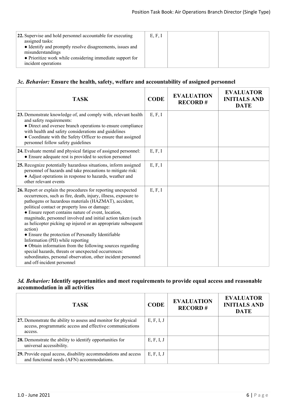| 22. Supervise and hold personnel accountable for executing<br>assigned tasks:<br>• Identify and promptly resolve disagreements, issues and | E, F, I |  |
|--------------------------------------------------------------------------------------------------------------------------------------------|---------|--|
| misunderstandings<br>• Prioritize work while considering immediate support for<br>incident operations                                      |         |  |

#### *3c. Behavior:* **Ensure the health, safety, welfare and accountability of assigned personnel**

| <b>TASK</b>                                                                                                                                                                                                                                                                                                                                                                                                                                                                                                                                                                                                                                                                                                                                              | <b>CODE</b> | <b>EVALUATION</b><br><b>RECORD#</b> | <b>EVALUATOR</b><br><b>INITIALS AND</b><br><b>DATE</b> |
|----------------------------------------------------------------------------------------------------------------------------------------------------------------------------------------------------------------------------------------------------------------------------------------------------------------------------------------------------------------------------------------------------------------------------------------------------------------------------------------------------------------------------------------------------------------------------------------------------------------------------------------------------------------------------------------------------------------------------------------------------------|-------------|-------------------------------------|--------------------------------------------------------|
| 23. Demonstrate knowledge of, and comply with, relevant health<br>and safety requirements:<br>• Direct and oversee branch operations to ensure compliance<br>with health and safety considerations and guidelines<br>• Coordinate with the Safety Officer to ensure that assigned<br>personnel follow safety guidelines                                                                                                                                                                                                                                                                                                                                                                                                                                  | E, F, I     |                                     |                                                        |
| 24. Evaluate mental and physical fatigue of assigned personnel:<br>• Ensure adequate rest is provided to section personnel                                                                                                                                                                                                                                                                                                                                                                                                                                                                                                                                                                                                                               | E, F, I     |                                     |                                                        |
| 25. Recognize potentially hazardous situations, inform assigned<br>personnel of hazards and take precautions to mitigate risk:<br>• Adjust operations in response to hazards, weather and<br>other relevant events                                                                                                                                                                                                                                                                                                                                                                                                                                                                                                                                       | E, F, I     |                                     |                                                        |
| 26. Report or explain the procedures for reporting unexpected<br>occurrences, such as fire, death, injury, illness, exposure to<br>pathogens or hazardous materials (HAZMAT), accident,<br>political contact or property loss or damage:<br>• Ensure report contains nature of event, location,<br>magnitude, personnel involved and initial action taken (such<br>as helicopter picking up injured or an appropriate subsequent<br>action)<br>• Ensure the protection of Personally Identifiable<br>Information (PII) while reporting<br>• Obtain information from the following sources regarding<br>special hazards, threats or unexpected occurrences:<br>subordinates, personal observation, other incident personnel<br>and off-incident personnel | E, F, I     |                                     |                                                        |

## *3d. Behavior:* **Identify opportunities and meet requirements to provide equal access and reasonable accommodation in all activities**

| <b>TASK</b>                                                                                                                           | <b>CODE</b> | <b>EVALUATION</b><br><b>RECORD#</b> | <b>EVALUATOR</b><br><b>INITIALS AND</b><br><b>DATE</b> |
|---------------------------------------------------------------------------------------------------------------------------------------|-------------|-------------------------------------|--------------------------------------------------------|
| 27. Demonstrate the ability to assess and monitor for physical<br>access, programmatic access and effective communications<br>access. | E, F, I, J  |                                     |                                                        |
| 28. Demonstrate the ability to identify opportunities for<br>universal accessibility.                                                 | E, F, I, J  |                                     |                                                        |
| 29. Provide equal access, disability accommodations and access<br>and functional needs (AFN) accommodations.                          | E, F, I, J  |                                     |                                                        |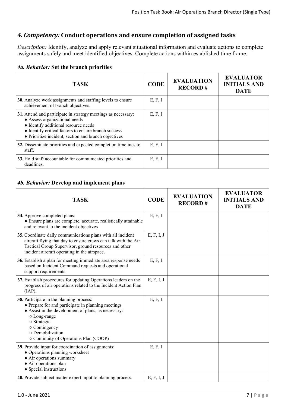## *4. Competency:* **Conduct operations and ensure completion of assigned tasks**

*Description:* Identify, analyze and apply relevant situational information and evaluate actions to complete assignments safely and meet identified objectives. Complete actions within established time frame.

|  | 4a. Behavior: Set the branch priorities |  |  |  |  |
|--|-----------------------------------------|--|--|--|--|
|--|-----------------------------------------|--|--|--|--|

| <b>TASK</b>                                                                                                                                                                                                                                            | <b>CODE</b> | <b>EVALUATION</b><br><b>RECORD#</b> | <b>EVALUATOR</b><br><b>INITIALS AND</b><br><b>DATE</b> |
|--------------------------------------------------------------------------------------------------------------------------------------------------------------------------------------------------------------------------------------------------------|-------------|-------------------------------------|--------------------------------------------------------|
| 30. Analyze work assignments and staffing levels to ensure<br>achievement of branch objectives.                                                                                                                                                        | E, F, I     |                                     |                                                        |
| 31. Attend and participate in strategy meetings as necessary:<br>• Assess organizational needs<br>• Identify additional resource needs<br>• Identify critical factors to ensure branch success<br>• Prioritize incident, section and branch objectives | E, F, I     |                                     |                                                        |
| 32. Disseminate priorities and expected completion timelines to<br>staff.                                                                                                                                                                              | E, F, I     |                                     |                                                        |
| 33. Hold staff accountable for communicated priorities and<br>deadlines.                                                                                                                                                                               | E, F, I     |                                     |                                                        |

#### *4b. Behavior:* **Develop and implement plans**

| <b>TASK</b>                                                                                                                                                                                                                                                         | <b>CODE</b> | <b>EVALUATION</b><br><b>RECORD#</b> | <b>EVALUATOR</b><br><b>INITIALS AND</b><br><b>DATE</b> |
|---------------------------------------------------------------------------------------------------------------------------------------------------------------------------------------------------------------------------------------------------------------------|-------------|-------------------------------------|--------------------------------------------------------|
| 34. Approve completed plans:<br>• Ensure plans are complete, accurate, realistically attainable<br>and relevant to the incident objectives                                                                                                                          | E, F, I     |                                     |                                                        |
| 35. Coordinate daily communications plans with all incident<br>aircraft flying that day to ensure crews can talk with the Air<br>Tactical Group Supervisor, ground resources and other<br>incident aircraft operating in the airspace.                              | E, F, I, J  |                                     |                                                        |
| 36. Establish a plan for meeting immediate area response needs<br>based on Incident Command requests and operational<br>support requirements.                                                                                                                       | E, F, I     |                                     |                                                        |
| 37. Establish procedures for updating Operations leaders on the<br>progress of air operations related to the Incident Action Plan<br>(IAP).                                                                                                                         | E, F, I, J  |                                     |                                                        |
| 38. Participate in the planning process:<br>• Prepare for and participate in planning meetings<br>• Assist in the development of plans, as necessary:<br>○ Long-range<br>o Strategic<br>○ Contingency<br>o Demobilization<br>○ Continuity of Operations Plan (COOP) | E, F, I     |                                     |                                                        |
| 39. Provide input for coordination of assignments:<br>• Operations planning worksheet<br>• Air operations summary<br>• Air operations plan<br>• Special instructions                                                                                                | E, F, I     |                                     |                                                        |
| 40. Provide subject matter expert input to planning process.                                                                                                                                                                                                        | E, F, I, J  |                                     |                                                        |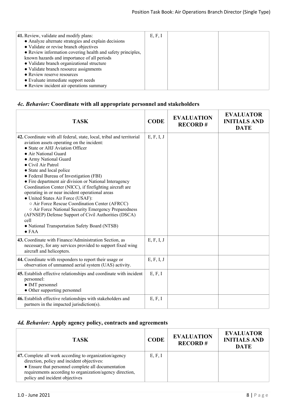# *4c. Behavior:* **Coordinate with all appropriate personnel and stakeholders**

| <b>TASK</b>                                                                                                                                                                                                                                                                                                                                                                                                                                                                                                                                                                                                                                                                                                                                                    | <b>CODE</b> | <b>EVALUATION</b><br><b>RECORD#</b> | <b>EVALUATOR</b><br><b>INITIALS AND</b><br><b>DATE</b> |
|----------------------------------------------------------------------------------------------------------------------------------------------------------------------------------------------------------------------------------------------------------------------------------------------------------------------------------------------------------------------------------------------------------------------------------------------------------------------------------------------------------------------------------------------------------------------------------------------------------------------------------------------------------------------------------------------------------------------------------------------------------------|-------------|-------------------------------------|--------------------------------------------------------|
| 42. Coordinate with all federal, state, local, tribal and territorial<br>aviation assets operating on the incident:<br>• State or AHJ Aviation Officer<br>• Air National Guard<br>• Army National Guard<br>• Civil Air Patrol<br>• State and local police<br>• Federal Bureau of Investigation (FBI)<br>• Fire department air division or National Interagency<br>Coordination Center (NICC), if firefighting aircraft are<br>operating in or near incident operational areas<br>• United States Air Force (USAF):<br>O Air Force Rescue Coordination Center (AFRCC)<br>o Air Force National Security Emergency Preparedness<br>(AFNSEP) Defense Support of Civil Authorities (DSCA)<br>cell<br>• National Transportation Safety Board (NTSB)<br>$\bullet$ FAA | E, F, I, J  |                                     |                                                        |
| 43. Coordinate with Finance/Administration Section, as<br>necessary, for any services provided to support fixed wing<br>aircraft and helicopters.                                                                                                                                                                                                                                                                                                                                                                                                                                                                                                                                                                                                              | E, F, I, J  |                                     |                                                        |
| 44. Coordinate with responders to report their usage or<br>observation of unmanned aerial system (UAS) activity.                                                                                                                                                                                                                                                                                                                                                                                                                                                                                                                                                                                                                                               | E, F, I, J  |                                     |                                                        |
| 45. Establish effective relationships and coordinate with incident<br>personnel:<br>• IMT personnel<br>• Other supporting personnel                                                                                                                                                                                                                                                                                                                                                                                                                                                                                                                                                                                                                            | E, F, I     |                                     |                                                        |
| 46. Establish effective relationships with stakeholders and<br>partners in the impacted jurisdiction(s).                                                                                                                                                                                                                                                                                                                                                                                                                                                                                                                                                                                                                                                       | E, F, I     |                                     |                                                        |

# *4d. Behavior:* **Apply agency policy, contracts and agreements**

| <b>TASK</b>                                                                                                                                                                                                                                              | <b>CODE</b> | <b>EVALUATION</b><br><b>RECORD#</b> | <b>EVALUATOR</b><br><b>INITIALS AND</b><br><b>DATE</b> |
|----------------------------------------------------------------------------------------------------------------------------------------------------------------------------------------------------------------------------------------------------------|-------------|-------------------------------------|--------------------------------------------------------|
| 47. Complete all work according to organization/agency<br>direction, policy and incident objectives:<br>• Ensure that personnel complete all documentation<br>requirements according to organization/agency direction,<br>policy and incident objectives | E, F, I     |                                     |                                                        |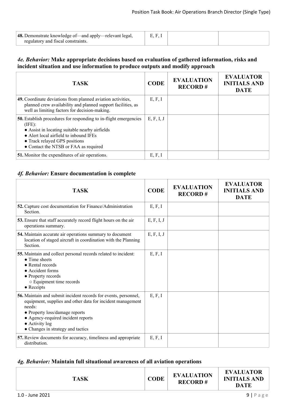| 48. Demonstrate knowledge of—and apply—relevant legal. |  |  |
|--------------------------------------------------------|--|--|
| regulatory and fiscal constraints.                     |  |  |

#### *4e. Behavior:* **Make appropriate decisions based on evaluation of gathered information, risks and incident situation and use information to produce outputs and modify approach**

| <b>TASK</b>                                                                                                                                                                                                                                      | <b>CODE</b> | <b>EVALUATION</b><br><b>RECORD#</b> | <b>EVALUATOR</b><br><b>INITIALS AND</b><br><b>DATE</b> |
|--------------------------------------------------------------------------------------------------------------------------------------------------------------------------------------------------------------------------------------------------|-------------|-------------------------------------|--------------------------------------------------------|
| 49. Coordinate deviations from planned aviation activities,<br>planned crew availability and planned support facilities, as<br>well as limiting factors for decision-making.                                                                     | E, F, I     |                                     |                                                        |
| 50. Establish procedures for responding to in-flight emergencies<br>(IFE):<br>• Assist in locating suitable nearby airfields<br>• Alert local airfield to inbound IFEs<br>• Track relayed GPS positions<br>• Contact the NTSB or FAA as required | E, F, I, J  |                                     |                                                        |
| 51. Monitor the expenditures of air operations.                                                                                                                                                                                                  | E, F, I     |                                     |                                                        |

## *4f. Behavior:* **Ensure documentation is complete**

| <b>TASK</b>                                                                                                                                                                                                                                                                    | <b>CODE</b> | <b>EVALUATION</b><br><b>RECORD#</b> | <b>EVALUATOR</b><br><b>INITIALS AND</b><br><b>DATE</b> |
|--------------------------------------------------------------------------------------------------------------------------------------------------------------------------------------------------------------------------------------------------------------------------------|-------------|-------------------------------------|--------------------------------------------------------|
| 52. Capture cost documentation for Finance/Administration<br>Section.                                                                                                                                                                                                          | E, F, I     |                                     |                                                        |
| 53. Ensure that staff accurately record flight hours on the air<br>operations summary.                                                                                                                                                                                         | E, F, I, J  |                                     |                                                        |
| 54. Maintain accurate air operations summary to document<br>location of staged aircraft in coordination with the Planning<br>Section.                                                                                                                                          | E, F, I, J  |                                     |                                                        |
| 55. Maintain and collect personal records related to incident:<br>$\bullet$ Time sheets<br>$\bullet$ Rental records<br>• Accident forms<br>• Property records<br>○ Equipment time records<br>$\bullet$ Receipts                                                                | E, F, I     |                                     |                                                        |
| 56. Maintain and submit incident records for events, personnel,<br>equipment, supplies and other data for incident management<br>needs:<br>• Property loss/damage reports<br>• Agency-required incident reports<br>$\bullet$ Activity log<br>• Changes in strategy and tactics | E, F, I     |                                     |                                                        |
| 57. Review documents for accuracy, timeliness and appropriate<br>distribution.                                                                                                                                                                                                 | E, F, I     |                                     |                                                        |

#### *4g. Behavior:* **Maintain full situational awareness of all aviation operations**

| <b>DATE</b> |
|-------------|
|-------------|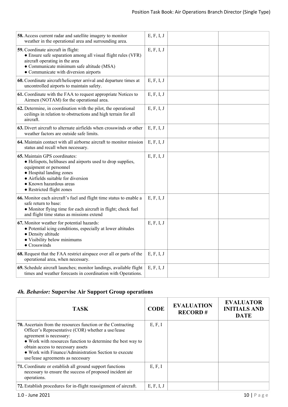| 58. Access current radar and satellite imagery to monitor<br>weather in the operational area and surrounding area.                                                                                                                              | E, F, I, J |
|-------------------------------------------------------------------------------------------------------------------------------------------------------------------------------------------------------------------------------------------------|------------|
| 59. Coordinate aircraft in flight:<br>• Ensure safe separation among all visual flight rules (VFR)<br>aircraft operating in the area<br>• Communicate minimum safe altitude (MSA)<br>• Communicate with diversion airports                      | E, F, I, J |
| 60. Coordinate aircraft/helicopter arrival and departure times at<br>uncontrolled airports to maintain safety.                                                                                                                                  | E, F, I, J |
| 61. Coordinate with the FAA to request appropriate Notices to<br>Airmen (NOTAM) for the operational area.                                                                                                                                       | E, F, I, J |
| 62. Determine, in coordination with the pilot, the operational<br>ceilings in relation to obstructions and high terrain for all<br>aircraft.                                                                                                    | E, F, I, J |
| 63. Divert aircraft to alternate airfields when crosswinds or other<br>weather factors are outside safe limits.                                                                                                                                 | E, F, I, J |
| 64. Maintain contact with all airborne aircraft to monitor mission<br>status and recall when necessary.                                                                                                                                         | E, F, I, J |
| 65. Maintain GPS coordinates:<br>• Helispots, helibases and airports used to drop supplies,<br>equipment or personnel<br>• Hospital landing zones<br>• Airfields suitable for diversion<br>• Known hazardous areas<br>• Restricted flight zones | E, F, I, J |
| 66. Monitor each aircraft's fuel and flight time status to enable a<br>safe return to base:<br>• Monitor flying time for each aircraft in flight; check fuel<br>and flight time status as missions extend                                       | E, F, I, J |
| 67. Monitor weather for potential hazards:<br>• Potential icing conditions, especially at lower altitudes<br>• Density altitude<br>• Visibility below minimums<br>$\bullet$ Crosswinds                                                          | E, F, I, J |
| 68. Request that the FAA restrict airspace over all or parts of the<br>operational area, when necessary.                                                                                                                                        | E, F, I, J |
| 69. Schedule aircraft launches; monitor landings, available flight<br>times and weather forecasts in coordination with Operations.                                                                                                              | E, F, I, J |

# *4h. Behavior:* **Supervise Air Support Group operations**

| <b>TASK</b>                                                                                                                                                                                                                                                                                                                                            | <b>CODE</b> | <b>EVALUATION</b><br><b>RECORD#</b> | <b>EVALUATOR</b><br><b>INITIALS AND</b><br><b>DATE</b> |
|--------------------------------------------------------------------------------------------------------------------------------------------------------------------------------------------------------------------------------------------------------------------------------------------------------------------------------------------------------|-------------|-------------------------------------|--------------------------------------------------------|
| <b>70.</b> Ascertain from the resources function or the Contracting<br>Officer's Representative (COR) whether a use/lease<br>agreement is necessary:<br>• Work with resources function to determine the best way to<br>obtain access to necessary assets<br>• Work with Finance/Administration Section to execute<br>use/lease agreements as necessary | E, F, I     |                                     |                                                        |
| 71. Coordinate or establish all ground support functions<br>necessary to ensure the success of proposed incident air<br>operations.                                                                                                                                                                                                                    | E, F, I     |                                     |                                                        |
| 72. Establish procedures for in-flight reassignment of aircraft.                                                                                                                                                                                                                                                                                       | E, F, I, J  |                                     |                                                        |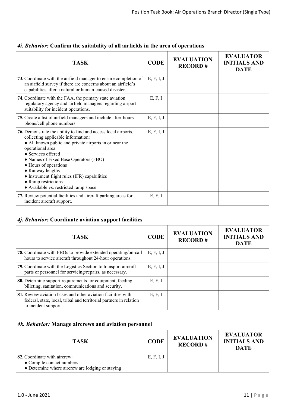| <b>TASK</b>                                                                                                                                                                                                                                                                                                                                                                                                    | <b>CODE</b> | <b>EVALUATION</b><br><b>RECORD#</b> | <b>EVALUATOR</b><br><b>INITIALS AND</b><br><b>DATE</b> |
|----------------------------------------------------------------------------------------------------------------------------------------------------------------------------------------------------------------------------------------------------------------------------------------------------------------------------------------------------------------------------------------------------------------|-------------|-------------------------------------|--------------------------------------------------------|
| 73. Coordinate with the airfield manager to ensure completion of<br>an airfield survey if there are concerns about an airfield's<br>capabilities after a natural or human-caused disaster.                                                                                                                                                                                                                     | E, F, I, J  |                                     |                                                        |
| 74. Coordinate with the FAA, the primary state aviation<br>regulatory agency and airfield managers regarding airport<br>suitability for incident operations.                                                                                                                                                                                                                                                   | E, F, I     |                                     |                                                        |
| 75. Create a list of airfield managers and include after-hours<br>phone/cell phone numbers.                                                                                                                                                                                                                                                                                                                    | E, F, I, J  |                                     |                                                        |
| 76. Demonstrate the ability to find and access local airports,<br>collecting applicable information:<br>• All known public and private airports in or near the<br>operational area<br>• Services offered<br>• Names of Fixed Base Operators (FBO)<br>• Hours of operations<br>• Runway lengths<br>• Instrument flight rules (IFR) capabilities<br>• Ramp restrictions<br>• Available vs. restricted ramp space | E, F, I, J  |                                     |                                                        |
| 77. Review potential facilities and aircraft parking areas for<br>incident aircraft support.                                                                                                                                                                                                                                                                                                                   | E, F, I     |                                     |                                                        |

## *4i. Behavior:* **Confirm the suitability of all airfields in the area of operations**

## *4j. Behavior:* **Coordinate aviation support facilities**

| <b>TASK</b>                                                                                                                                                | <b>CODE</b> | <b>EVALUATION</b><br><b>RECORD#</b> | <b>EVALUATOR</b><br><b>INITIALS AND</b><br><b>DATE</b> |
|------------------------------------------------------------------------------------------------------------------------------------------------------------|-------------|-------------------------------------|--------------------------------------------------------|
| <b>78.</b> Coordinate with FBOs to provide extended operating/on-call<br>hours to service aircraft throughout 24-hour operations.                          | E, F, I, J  |                                     |                                                        |
| 79. Coordinate with the Logistics Section to transport aircraft<br>parts or personnel for servicing/repairs, as necessary.                                 | E, F, I, J  |                                     |                                                        |
| 80. Determine support requirements for equipment, feeding,<br>billeting, sanitation, communications and security.                                          | E, F, I     |                                     |                                                        |
| 81. Review aviation bases and other aviation facilities with<br>federal, state, local, tribal and territorial partners in relation<br>to incident support. | E, F, I     |                                     |                                                        |

## *4k. Behavior:* **Manage aircrews and aviation personnel**

| <b>TASK</b>                                                                                                          | <b>CODE</b> | <b>EVALUATION</b><br><b>RECORD#</b> | <b>EVALUATOR</b><br><b>INITIALS AND</b><br><b>DATE</b> |
|----------------------------------------------------------------------------------------------------------------------|-------------|-------------------------------------|--------------------------------------------------------|
| <b>82.</b> Coordinate with aircrew:<br>• Compile contact numbers<br>• Determine where aircrew are lodging or staying | E, F, I, J  |                                     |                                                        |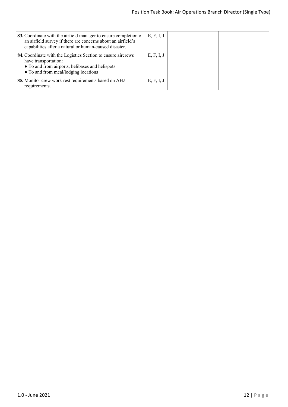| <b>83.</b> Coordinate with the airfield manager to ensure completion of<br>an airfield survey if there are concerns about an airfield's<br>capabilities after a natural or human-caused disaster. | E, F, I, J |  |
|---------------------------------------------------------------------------------------------------------------------------------------------------------------------------------------------------|------------|--|
| 84. Coordinate with the Logistics Section to ensure aircrews<br>have transportation:<br>• To and from airports, helibases and helispots<br>• To and from meal/lodging locations                   | E, F, I, J |  |
| 85. Monitor crew work rest requirements based on AHJ<br>requirements.                                                                                                                             | E, F, I, J |  |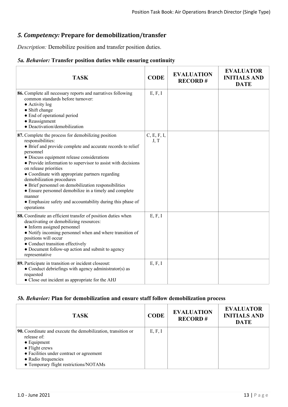## *5. Competency:* **Prepare for demobilization/transfer**

*Description:* Demobilize position and transfer position duties.

## *5a. Behavior:* **Transfer position duties while ensuring continuity**

| <b>TASK</b>                                                                                                                                                                                                                                                                                                                                                                                                                                                                                                                                                                         | <b>CODE</b>         | <b>EVALUATION</b><br><b>RECORD#</b> | <b>EVALUATOR</b><br><b>INITIALS AND</b><br><b>DATE</b> |
|-------------------------------------------------------------------------------------------------------------------------------------------------------------------------------------------------------------------------------------------------------------------------------------------------------------------------------------------------------------------------------------------------------------------------------------------------------------------------------------------------------------------------------------------------------------------------------------|---------------------|-------------------------------------|--------------------------------------------------------|
| 86. Complete all necessary reports and narratives following<br>common standards before turnover:<br>$\bullet$ Activity log<br>• Shift change<br>• End of operational period<br>• Reassignment<br>· Deactivation/demobilization                                                                                                                                                                                                                                                                                                                                                      | E, F, I             |                                     |                                                        |
| 87. Complete the process for demobilizing position<br>responsibilities:<br>• Brief and provide complete and accurate records to relief<br>personnel<br>• Discuss equipment release considerations<br>• Provide information to supervisor to assist with decisions<br>on release priorities<br>• Coordinate with appropriate partners regarding<br>demobilization procedures<br>• Brief personnel on demobilization responsibilities<br>• Ensure personnel demobilize in a timely and complete<br>manner<br>• Emphasize safety and accountability during this phase of<br>operations | C, E, F, I,<br>J, T |                                     |                                                        |
| 88. Coordinate an efficient transfer of position duties when<br>deactivating or demobilizing resources:<br>• Inform assigned personnel<br>• Notify incoming personnel when and where transition of<br>positions will occur<br>• Conduct transition effectively<br>• Document follow-up action and submit to agency<br>representative                                                                                                                                                                                                                                                | E, F, I             |                                     |                                                        |
| 89. Participate in transition or incident closeout:<br>• Conduct debriefings with agency administrator(s) as<br>requested<br>• Close out incident as appropriate for the AHJ                                                                                                                                                                                                                                                                                                                                                                                                        | E, F, I             |                                     |                                                        |

#### *5b. Behavior:* **Plan for demobilization and ensure staff follow demobilization process**

| <b>TASK</b>                                                                 | <b>CODE</b> | <b>EVALUATION</b><br><b>RECORD#</b> | <b>EVALUATOR</b><br><b>INITIALS AND</b><br><b>DATE</b> |
|-----------------------------------------------------------------------------|-------------|-------------------------------------|--------------------------------------------------------|
| 90. Coordinate and execute the demobilization, transition or<br>release of: | E, F, I     |                                     |                                                        |
| $\bullet$ Equipment                                                         |             |                                     |                                                        |
| $\bullet$ Flight crews                                                      |             |                                     |                                                        |
| • Facilities under contract or agreement                                    |             |                                     |                                                        |
| • Radio frequencies                                                         |             |                                     |                                                        |
| • Temporary flight restrictions/NOTAMs                                      |             |                                     |                                                        |